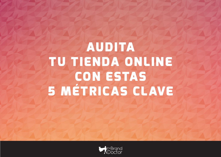# AUDITA TU TIENDA ONLINE CON ESTAS 5 MÉTRICAS CLAVE

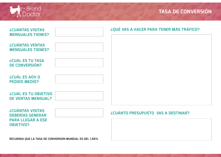

| <b>¿CUÁNTAS VISITAS</b><br><b>MENSUALES TIENES?</b>                                                | ¿QUÉ VAS A HACER PARA TENER MÁS TRÁFICO? |  |  |
|----------------------------------------------------------------------------------------------------|------------------------------------------|--|--|
| <b>¿CUÁNTAS VENTAS</b><br><b>MENSUALES TIENES?</b>                                                 |                                          |  |  |
| ¿CUÁL ES TU TASA<br><b>DE CONVERSIÓN?</b>                                                          |                                          |  |  |
| ¿CUÁL ES AOV O<br><b>PEDIDO MEDIO?</b>                                                             |                                          |  |  |
| <b>¿CUÁL ES TU OBJETIVO</b><br><b>DE VENTAS MENSUAL?</b>                                           |                                          |  |  |
| <b>¿CUÁNTAS VISITAS</b><br><b>DEBERÍAS GENERAR</b><br><b>PARA LLEGAR A ESE</b><br><b>OBJETIVO?</b> | ¿CUÁNTO PRESUPUSTO VAS A DESTINAR?       |  |  |
| <b>DECILEDDA OUEL A TACA DE CONVEDEIÓN MUNDIAL CE DEL 1 FEDI</b>                                   |                                          |  |  |

**RECUERDA QUE LA TASA DE CONVERSIÓN MUNDIAL ES DEL 1,56%**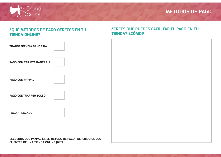

## **¿QUÉ MÉTODOS DE PAGO OFRECES EN TU TIENDA ONLINE? ¿CREES QUE PUEDES FACILITAR EL PAGO EN TU TIENDA? ¿CÓMO? RECUERDA QUE PAYPAL ES EL MÉTODO DE PAGO PREFERIDO DE LOS TRANSFERENCIA BANCARIA PAGO CON PAYPAL PAGO CON TARJETA BANCARIA PAGO CONTRARREMBOLSO PAGO APLAZADO**

**CLIENTES DE UNA TIENDA ONLINE (62%)**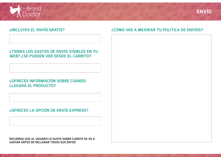

#### **¿INCLUYES EL ENVÍO GRATIS?**

#### **¿TIENES LOS GASTOS DE ENVÍO VISIBLES EN TU WEB? ¿SE PUEDEN VER DESDE EL CARRITO?**

#### **¿OFRECES INFORMACIÓN SOBRE CUÁNDO LLEGARÁ EL PRODUCTO?**

#### **¿OFRECES LA OPCIÓN DE ENVÍO EXPRESS?**

**RECUERDA QUE AL USUARIO LE GUSTA SABER CUÁNTO SE VA A GASTAR ANTES DE RELLENAR TODOS SUS DATOS**

#### **¿CÓMO VAS A MEJORAR TU POLÍTICA DE ENVÍOS?**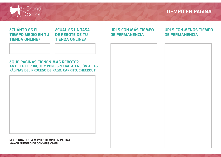

#### **¿CUÁNTO ES EL TIEMPO MEDIO EN TU TIENDA ONLINE?**

#### **¿CUÁL ES LA TASA DE REBOTE DE TU TIENDA ONLINE?**

#### **URLS CON MÁS TIEMPO DE PERMANENCIA**

#### **URLS CON MENOS TIEMPO DE PERMANENCIA**

| ¿QUÉ PAGINAS TIENEN MÁS REBOTE?                 |
|-------------------------------------------------|
| ANALIZA EL PORQUÉ Y PON ESPECIAL ATENCIÓN A LAS |
| PÁGINAS DEL PROCESO DE PAGO: CARRITO, CHECKOUT  |

**RECUERDA QUE A MAYOR TIEMPO EN PÁGINA, MAYOR NÚMERO DE CONVERSIONES**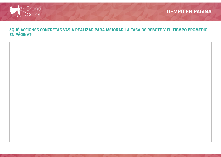

¿QUÉ ACCIONES CONCRETAS VAS A REALIZAR PARA MEJORAR LA TASA DE REBOTE Y EL TIEMPO PROMEDIO<br>EN PÁGINA?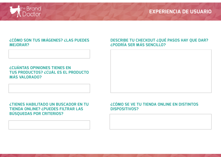

#### **¿CÓMO SON TUS IMÁGENES? ¿LAS PUEDES MEJORAR?**

#### **¿CUÁNTAS OPINIONES TIENES EN TUS PRODUCTOS? ¿CUÁL ES EL PRODUCTO MÁS VALORADO?**

#### **DESCRIBE TU CHECKOUT ¿QUÉ PASOS HAY QUE DAR? ¿PODRÍA SER MÁS SENCILLO?**



#### **¿TIENES HABILITADO UN BUSCADOR EN TU TIENDA ONLINE? ¿PUEDES FILTRAR LAS BÚSQUEDAS POR CRITERIOS?**

#### **¿CÓMO SE VE TU TIENDA ONLINE EN DISTINTOS DISPOSITIVOS?**